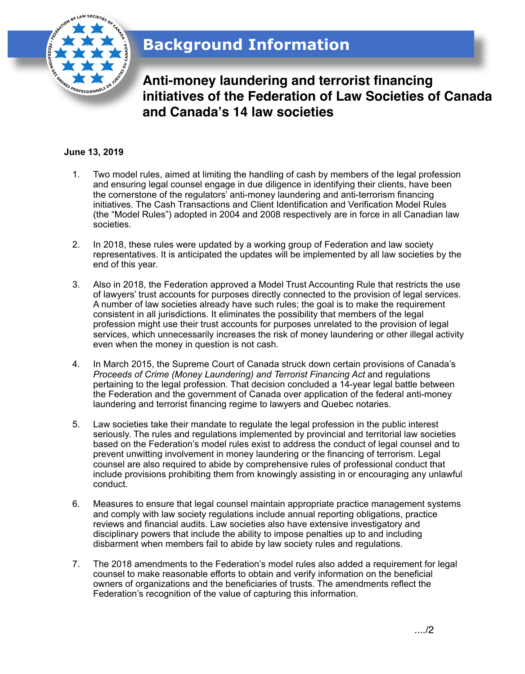

**Anti-money laundering and terrorist financing initiatives of the Federation of Law Societies of Canada and Canada!s 14 law societies**

## **June 13, 2019**

- 1. Two model rules, aimed at limiting the handling of cash by members of the legal profession and ensuring legal counsel engage in due diligence in identifying their clients, have been the cornerstone of the regulators' anti-money laundering and anti-terrorism financing initiatives. The Cash Transactions and Client Identification and Verification Model Rules (the "Model Rules") adopted in 2004 and 2008 respectively are in force in all Canadian law societies.
- 2. In 2018, these rules were updated by a working group of Federation and law society representatives. It is anticipated the updates will be implemented by all law societies by the end of this year.
- 3. Also in 2018, the Federation approved a Model Trust Accounting Rule that restricts the use of lawyers' trust accounts for purposes directly connected to the provision of legal services. A number of law societies already have such rules; the goal is to make the requirement consistent in all jurisdictions. It eliminates the possibility that members of the legal profession might use their trust accounts for purposes unrelated to the provision of legal services, which unnecessarily increases the risk of money laundering or other illegal activity even when the money in question is not cash.
- 4. In March 2015, the Supreme Court of Canada struck down certain provisions of Canada's *Proceeds of Crime (Money Laundering) and Terrorist Financing Act* and regulations pertaining to the legal profession. That decision concluded a 14-year legal battle between the Federation and the government of Canada over application of the federal anti-money laundering and terrorist financing regime to lawyers and Quebec notaries.
- 5. Law societies take their mandate to regulate the legal profession in the public interest seriously. The rules and regulations implemented by provincial and territorial law societies based on the Federation's model rules exist to address the conduct of legal counsel and to prevent unwitting involvement in money laundering or the financing of terrorism. Legal counsel are also required to abide by comprehensive rules of professional conduct that include provisions prohibiting them from knowingly assisting in or encouraging any unlawful conduct.
- 6. Measures to ensure that legal counsel maintain appropriate practice management systems and comply with law society regulations include annual reporting obligations, practice reviews and financial audits. Law societies also have extensive investigatory and disciplinary powers that include the ability to impose penalties up to and including disbarment when members fail to abide by law society rules and regulations.
- 7. The 2018 amendments to the Federation's model rules also added a requirement for legal counsel to make reasonable efforts to obtain and verify information on the beneficial owners of organizations and the beneficiaries of trusts. The amendments reflect the Federation's recognition of the value of capturing this information.